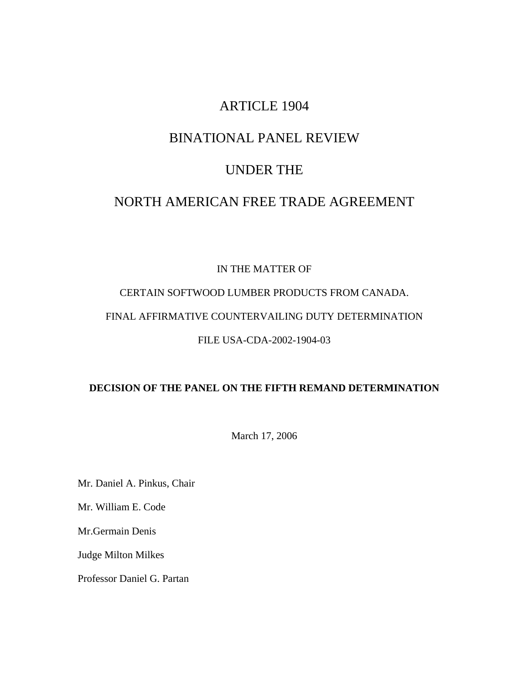# ARTICLE 1904

# BINATIONAL PANEL REVIEW

# UNDER THE

# NORTH AMERICAN FREE TRADE AGREEMENT

## IN THE MATTER OF

# CERTAIN SOFTWOOD LUMBER PRODUCTS FROM CANADA. FINAL AFFIRMATIVE COUNTERVAILING DUTY DETERMINATION FILE USA-CDA-2002-1904-03

## **DECISION OF THE PANEL ON THE FIFTH REMAND DETERMINATION**

March 17, 2006

Mr. Daniel A. Pinkus, Chair

Mr. William E. Code

Mr.Germain Denis

Judge Milton Milkes

Professor Daniel G. Partan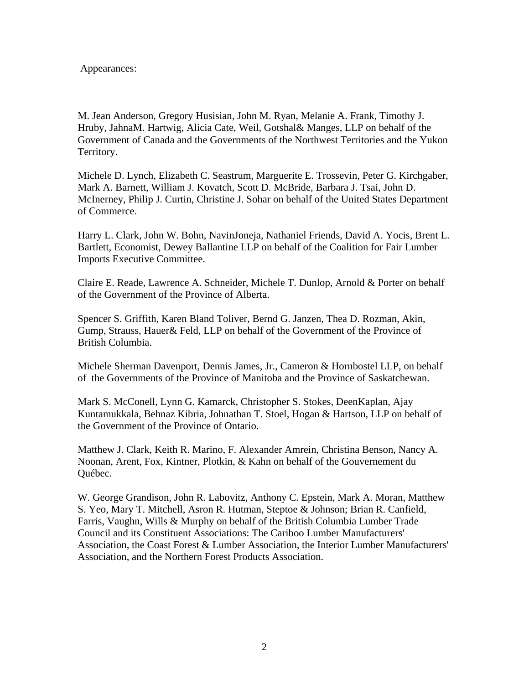### Appearances:

M. Jean Anderson, Gregory Husisian, John M. Ryan, Melanie A. Frank, Timothy J. Hruby, JahnaM. Hartwig, Alicia Cate, Weil, Gotshal& Manges, LLP on behalf of the Government of Canada and the Governments of the Northwest Territories and the Yukon Territory.

Michele D. Lynch, Elizabeth C. Seastrum, Marguerite E. Trossevin, Peter G. Kirchgaber, Mark A. Barnett, William J. Kovatch, Scott D. McBride, Barbara J. Tsai, John D. McInerney, Philip J. Curtin, Christine J. Sohar on behalf of the United States Department of Commerce.

Harry L. Clark, John W. Bohn, NavinJoneja, Nathaniel Friends, David A. Yocis, Brent L. Bartlett, Economist, Dewey Ballantine LLP on behalf of the Coalition for Fair Lumber Imports Executive Committee.

Claire E. Reade, Lawrence A. Schneider, Michele T. Dunlop, Arnold & Porter on behalf of the Government of the Province of Alberta.

Spencer S. Griffith, Karen Bland Toliver, Bernd G. Janzen, Thea D. Rozman, Akin, Gump, Strauss, Hauer& Feld, LLP on behalf of the Government of the Province of British Columbia.

Michele Sherman Davenport, Dennis James, Jr., Cameron & Hornbostel LLP, on behalf of the Governments of the Province of Manitoba and the Province of Saskatchewan.

Mark S. McConell, Lynn G. Kamarck, Christopher S. Stokes, DeenKaplan, Ajay Kuntamukkala, Behnaz Kibria, Johnathan T. Stoel, Hogan & Hartson, LLP on behalf of the Government of the Province of Ontario.

Matthew J. Clark, Keith R. Marino, F. Alexander Amrein, Christina Benson, Nancy A. Noonan, Arent, Fox, Kintner, Plotkin, & Kahn on behalf of the Gouvernement du Québec.

W. George Grandison, John R. Labovitz, Anthony C. Epstein, Mark A. Moran, Matthew S. Yeo, Mary T. Mitchell, Asron R. Hutman, Steptoe & Johnson; Brian R. Canfield, Farris, Vaughn, Wills & Murphy on behalf of the British Columbia Lumber Trade Council and its Constituent Associations: The Cariboo Lumber Manufacturers' Association, the Coast Forest & Lumber Association, the Interior Lumber Manufacturers' Association, and the Northern Forest Products Association.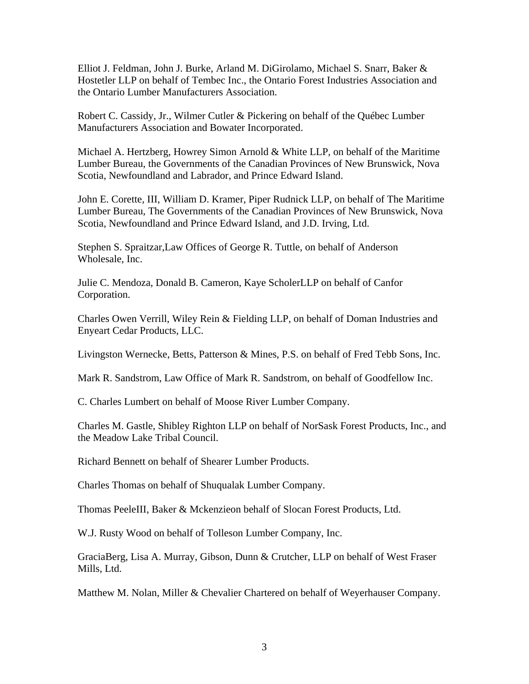Elliot J. Feldman, John J. Burke, Arland M. DiGirolamo, Michael S. Snarr, Baker & Hostetler LLP on behalf of Tembec Inc., the Ontario Forest Industries Association and the Ontario Lumber Manufacturers Association.

Robert C. Cassidy, Jr., Wilmer Cutler & Pickering on behalf of the Québec Lumber Manufacturers Association and Bowater Incorporated.

Michael A. Hertzberg, Howrey Simon Arnold & White LLP, on behalf of the Maritime Lumber Bureau, the Governments of the Canadian Provinces of New Brunswick, Nova Scotia, Newfoundland and Labrador, and Prince Edward Island.

John E. Corette, III, William D. Kramer, Piper Rudnick LLP, on behalf of The Maritime Lumber Bureau, The Governments of the Canadian Provinces of New Brunswick, Nova Scotia, Newfoundland and Prince Edward Island, and J.D. Irving, Ltd.

Stephen S. Spraitzar,Law Offices of George R. Tuttle, on behalf of Anderson Wholesale, Inc.

Julie C. Mendoza, Donald B. Cameron, Kaye ScholerLLP on behalf of Canfor Corporation.

Charles Owen Verrill, Wiley Rein & Fielding LLP, on behalf of Doman Industries and Enyeart Cedar Products, LLC.

Livingston Wernecke, Betts, Patterson & Mines, P.S. on behalf of Fred Tebb Sons, Inc.

Mark R. Sandstrom, Law Office of Mark R. Sandstrom, on behalf of Goodfellow Inc.

C. Charles Lumbert on behalf of Moose River Lumber Company.

Charles M. Gastle, Shibley Righton LLP on behalf of NorSask Forest Products, Inc., and the Meadow Lake Tribal Council.

Richard Bennett on behalf of Shearer Lumber Products.

Charles Thomas on behalf of Shuqualak Lumber Company.

Thomas PeeleIII, Baker & Mckenzieon behalf of Slocan Forest Products, Ltd.

W.J. Rusty Wood on behalf of Tolleson Lumber Company, Inc.

GraciaBerg, Lisa A. Murray, Gibson, Dunn & Crutcher, LLP on behalf of West Fraser Mills, Ltd.

Matthew M. Nolan, Miller & Chevalier Chartered on behalf of Weyerhauser Company.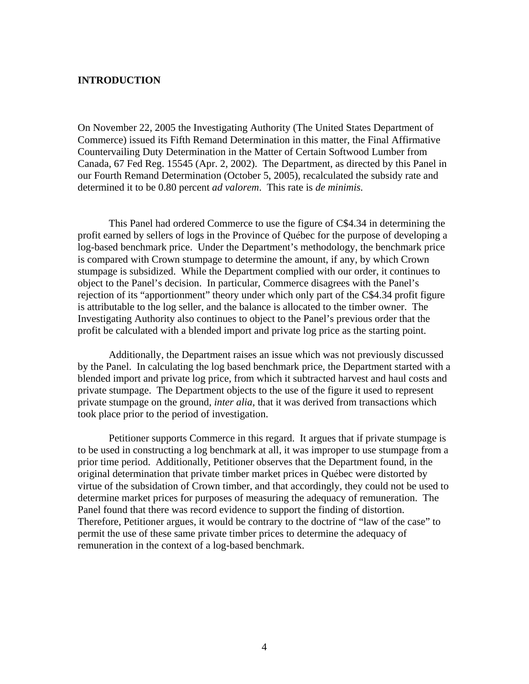#### **INTRODUCTION**

On November 22, 2005 the Investigating Authority (The United States Department of Commerce) issued its Fifth Remand Determination in this matter, the Final Affirmative Countervailing Duty Determination in the Matter of Certain Softwood Lumber from Canada, 67 Fed Reg. 15545 (Apr. 2, 2002). The Department, as directed by this Panel in our Fourth Remand Determination (October 5, 2005), recalculated the subsidy rate and determined it to be 0.80 percent *ad valorem*. This rate is *de minimis.* 

 This Panel had ordered Commerce to use the figure of C\$4.34 in determining the profit earned by sellers of logs in the Province of Québec for the purpose of developing a log-based benchmark price. Under the Department's methodology, the benchmark price is compared with Crown stumpage to determine the amount, if any, by which Crown stumpage is subsidized. While the Department complied with our order, it continues to object to the Panel's decision. In particular, Commerce disagrees with the Panel's rejection of its "apportionment" theory under which only part of the C\$4.34 profit figure is attributable to the log seller, and the balance is allocated to the timber owner. The Investigating Authority also continues to object to the Panel's previous order that the profit be calculated with a blended import and private log price as the starting point.

 Additionally, the Department raises an issue which was not previously discussed by the Panel. In calculating the log based benchmark price, the Department started with a blended import and private log price, from which it subtracted harvest and haul costs and private stumpage. The Department objects to the use of the figure it used to represent private stumpage on the ground, *inter alia,* that it was derived from transactions which took place prior to the period of investigation.

 Petitioner supports Commerce in this regard. It argues that if private stumpage is to be used in constructing a log benchmark at all, it was improper to use stumpage from a prior time period. Additionally, Petitioner observes that the Department found, in the original determination that private timber market prices in Québec were distorted by virtue of the subsidation of Crown timber, and that accordingly, they could not be used to determine market prices for purposes of measuring the adequacy of remuneration. The Panel found that there was record evidence to support the finding of distortion. Therefore, Petitioner argues, it would be contrary to the doctrine of "law of the case" to permit the use of these same private timber prices to determine the adequacy of remuneration in the context of a log-based benchmark.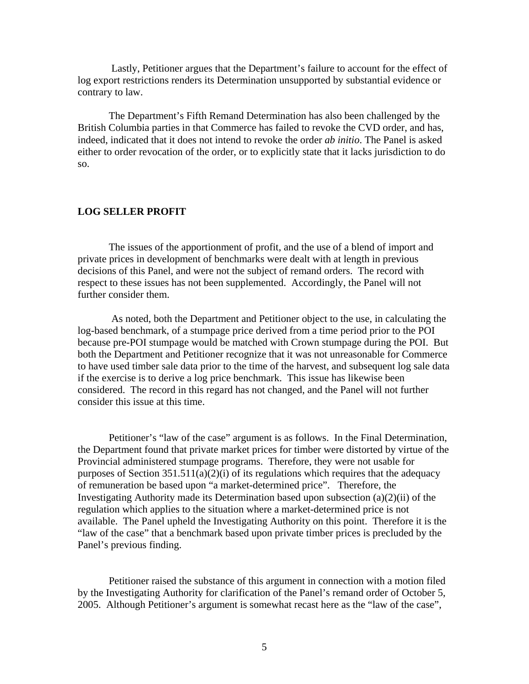Lastly, Petitioner argues that the Department's failure to account for the effect of log export restrictions renders its Determination unsupported by substantial evidence or contrary to law.

 The Department's Fifth Remand Determination has also been challenged by the British Columbia parties in that Commerce has failed to revoke the CVD order, and has, indeed, indicated that it does not intend to revoke the order *ab initio*. The Panel is asked either to order revocation of the order, or to explicitly state that it lacks jurisdiction to do so.

#### **LOG SELLER PROFIT**

 The issues of the apportionment of profit, and the use of a blend of import and private prices in development of benchmarks were dealt with at length in previous decisions of this Panel, and were not the subject of remand orders. The record with respect to these issues has not been supplemented. Accordingly, the Panel will not further consider them.

 As noted, both the Department and Petitioner object to the use, in calculating the log-based benchmark, of a stumpage price derived from a time period prior to the POI because pre-POI stumpage would be matched with Crown stumpage during the POI. But both the Department and Petitioner recognize that it was not unreasonable for Commerce to have used timber sale data prior to the time of the harvest, and subsequent log sale data if the exercise is to derive a log price benchmark. This issue has likewise been considered. The record in this regard has not changed, and the Panel will not further consider this issue at this time.

 Petitioner's "law of the case" argument is as follows. In the Final Determination, the Department found that private market prices for timber were distorted by virtue of the Provincial administered stumpage programs. Therefore, they were not usable for purposes of Section  $351.511(a)(2)(i)$  of its regulations which requires that the adequacy of remuneration be based upon "a market-determined price". Therefore, the Investigating Authority made its Determination based upon subsection (a)(2)(ii) of the regulation which applies to the situation where a market-determined price is not available. The Panel upheld the Investigating Authority on this point. Therefore it is the "law of the case" that a benchmark based upon private timber prices is precluded by the Panel's previous finding.

 Petitioner raised the substance of this argument in connection with a motion filed by the Investigating Authority for clarification of the Panel's remand order of October 5, 2005. Although Petitioner's argument is somewhat recast here as the "law of the case",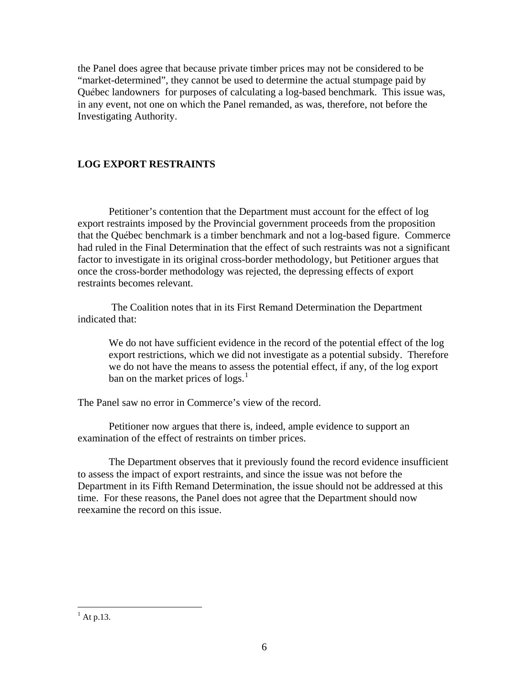the Panel does agree that because private timber prices may not be considered to be "market-determined", they cannot be used to determine the actual stumpage paid by Québec landowners for purposes of calculating a log-based benchmark. This issue was, in any event, not one on which the Panel remanded, as was, therefore, not before the Investigating Authority.

## **LOG EXPORT RESTRAINTS**

 Petitioner's contention that the Department must account for the effect of log export restraints imposed by the Provincial government proceeds from the proposition that the Québec benchmark is a timber benchmark and not a log-based figure. Commerce had ruled in the Final Determination that the effect of such restraints was not a significant factor to investigate in its original cross-border methodology, but Petitioner argues that once the cross-border methodology was rejected, the depressing effects of export restraints becomes relevant.

 The Coalition notes that in its First Remand Determination the Department indicated that:

 We do not have sufficient evidence in the record of the potential effect of the log export restrictions, which we did not investigate as a potential subsidy. Therefore we do not have the means to assess the potential effect, if any, of the log export ban on the market prices of  $\log s$ .<sup>[1](#page-5-0)</sup>

The Panel saw no error in Commerce's view of the record.

 Petitioner now argues that there is, indeed, ample evidence to support an examination of the effect of restraints on timber prices.

 The Department observes that it previously found the record evidence insufficient to assess the impact of export restraints, and since the issue was not before the Department in its Fifth Remand Determination, the issue should not be addressed at this time. For these reasons, the Panel does not agree that the Department should now reexamine the record on this issue.

<span id="page-5-0"></span> $\overline{a}$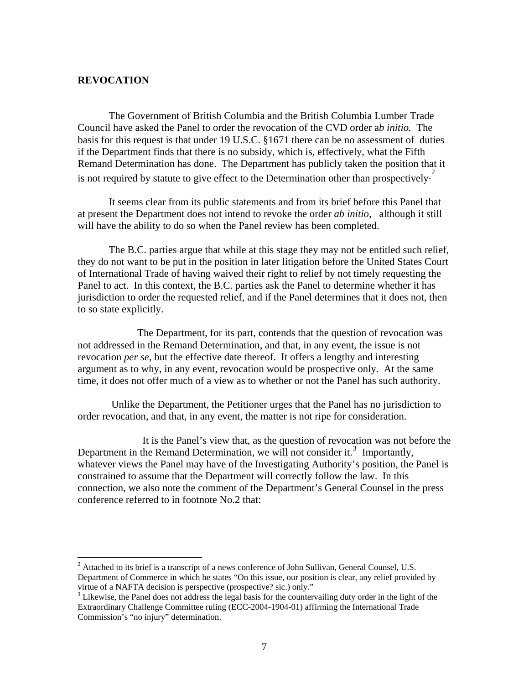#### **REVOCATION**

 $\overline{a}$ 

 The Government of British Columbia and the British Columbia Lumber Trade Council have asked the Panel to order the revocation of the CVD order a*b initio.* The basis for this request is that under 19 U.S.C. §1671 there can be no assessment of duties if the Department finds that there is no subsidy, which is, effectively, what the Fifth Remand Determination has done. The Department has publicly taken the position that it is not required by statute to give effect to the Determination other than prospectively.<sup>[2](#page-6-0)</sup>

 It seems clear from its public statements and from its brief before this Panel that at present the Department does not intend to revoke the order *ab initio,* although it still will have the ability to do so when the Panel review has been completed.

 The B.C. parties argue that while at this stage they may not be entitled such relief, they do not want to be put in the position in later litigation before the United States Court of International Trade of having waived their right to relief by not timely requesting the Panel to act. In this context, the B.C. parties ask the Panel to determine whether it has jurisdiction to order the requested relief, and if the Panel determines that it does not, then to so state explicitly.

 The Department, for its part, contends that the question of revocation was not addressed in the Remand Determination, and that, in any event, the issue is not revocation *per se,* but the effective date thereof. It offers a lengthy and interesting argument as to why, in any event, revocation would be prospective only. At the same time, it does not offer much of a view as to whether or not the Panel has such authority.

 Unlike the Department, the Petitioner urges that the Panel has no jurisdiction to order revocation, and that, in any event, the matter is not ripe for consideration.

 It is the Panel's view that, as the question of revocation was not before the Department in the Remand Determination, we will not consider it.<sup>[3](#page-6-1)</sup> Importantly, whatever views the Panel may have of the Investigating Authority's position, the Panel is constrained to assume that the Department will correctly follow the law. In this connection, we also note the comment of the Department's General Counsel in the press conference referred to in footnote No.2 that:

<span id="page-6-0"></span> $2$  Attached to its brief is a transcript of a news conference of John Sullivan, General Counsel, U.S. Department of Commerce in which he states "On this issue, our position is clear, any relief provided by virtue of a NAFTA decision is perspective (prospective? sic.) only."

<span id="page-6-1"></span><sup>&</sup>lt;sup>3</sup> Likewise, the Panel does not address the legal basis for the countervailing duty order in the light of the Extraordinary Challenge Committee ruling (ECC-2004-1904-01) affirming the International Trade Commission's "no injury" determination.